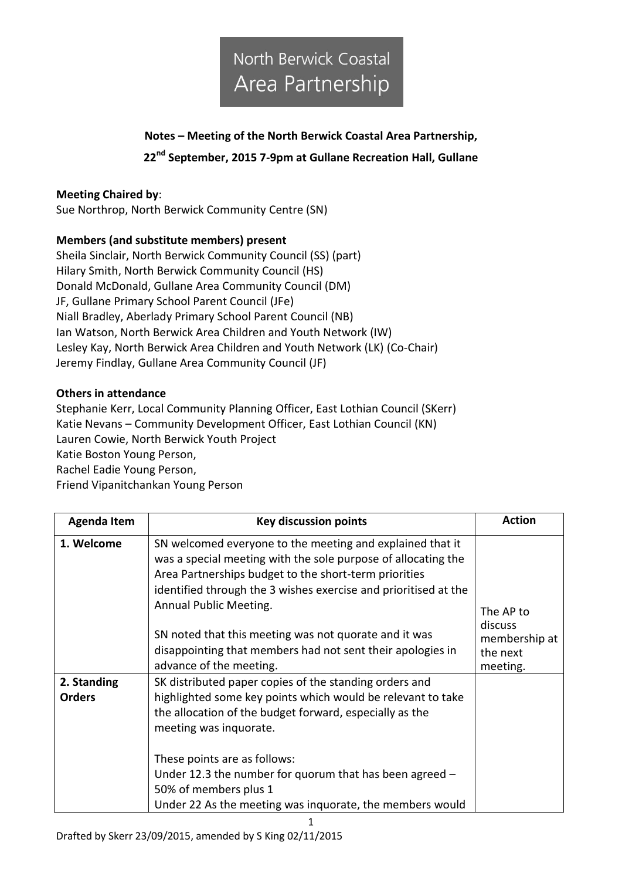### **Notes – Meeting of the North Berwick Coastal Area Partnership,**

#### **22nd September, 2015 7-9pm at Gullane Recreation Hall, Gullane**

#### **Meeting Chaired by**:

Sue Northrop, North Berwick Community Centre (SN)

#### **Members (and substitute members) present**

Sheila Sinclair, North Berwick Community Council (SS) (part) Hilary Smith, North Berwick Community Council (HS) Donald McDonald, Gullane Area Community Council (DM) JF, Gullane Primary School Parent Council (JFe) Niall Bradley, Aberlady Primary School Parent Council (NB) Ian Watson, North Berwick Area Children and Youth Network (IW) Lesley Kay, North Berwick Area Children and Youth Network (LK) (Co-Chair) Jeremy Findlay, Gullane Area Community Council (JF)

#### **Others in attendance**

Stephanie Kerr, Local Community Planning Officer, East Lothian Council (SKerr) Katie Nevans – Community Development Officer, East Lothian Council (KN) Lauren Cowie, North Berwick Youth Project Katie Boston Young Person, Rachel Eadie Young Person, Friend Vipanitchankan Young Person

| <b>Agenda Item</b>           | <b>Key discussion points</b>                                                                                                                                                                                                                                                     | <b>Action</b>                                                 |
|------------------------------|----------------------------------------------------------------------------------------------------------------------------------------------------------------------------------------------------------------------------------------------------------------------------------|---------------------------------------------------------------|
| 1. Welcome                   | SN welcomed everyone to the meeting and explained that it<br>was a special meeting with the sole purpose of allocating the<br>Area Partnerships budget to the short-term priorities<br>identified through the 3 wishes exercise and prioritised at the<br>Annual Public Meeting. | The AP to<br>discuss<br>membership at<br>the next<br>meeting. |
|                              | SN noted that this meeting was not quorate and it was<br>disappointing that members had not sent their apologies in<br>advance of the meeting.                                                                                                                                   |                                                               |
| 2. Standing<br><b>Orders</b> | SK distributed paper copies of the standing orders and<br>highlighted some key points which would be relevant to take<br>the allocation of the budget forward, especially as the<br>meeting was inquorate.                                                                       |                                                               |
|                              | These points are as follows:<br>Under 12.3 the number for quorum that has been agreed $-$<br>50% of members plus 1<br>Under 22 As the meeting was inquorate, the members would                                                                                                   |                                                               |

1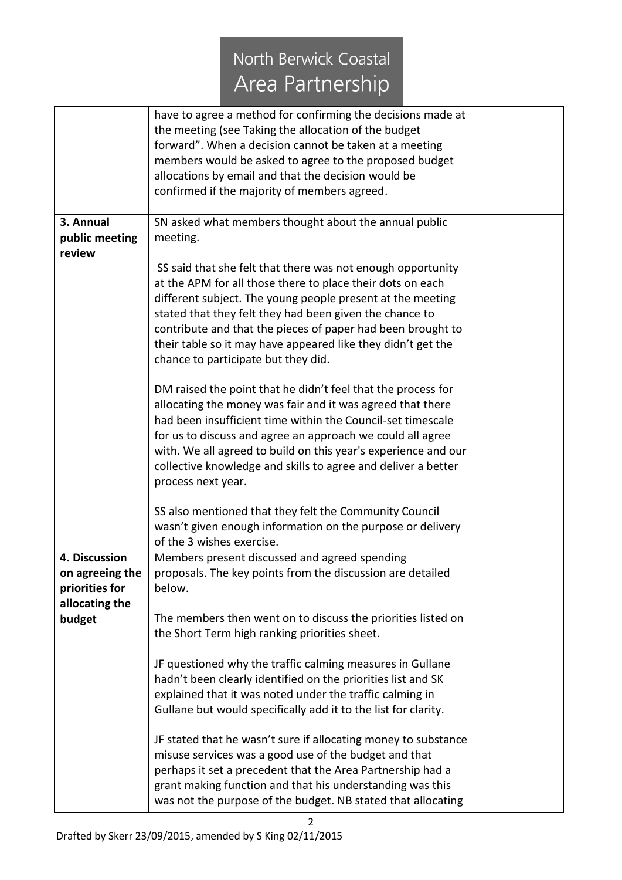## North Berwick Coastal Area Partnership

|                 | have to agree a method for confirming the decisions made at    |  |
|-----------------|----------------------------------------------------------------|--|
|                 | the meeting (see Taking the allocation of the budget           |  |
|                 | forward". When a decision cannot be taken at a meeting         |  |
|                 | members would be asked to agree to the proposed budget         |  |
|                 | allocations by email and that the decision would be            |  |
|                 | confirmed if the majority of members agreed.                   |  |
|                 |                                                                |  |
| 3. Annual       | SN asked what members thought about the annual public          |  |
| public meeting  | meeting.                                                       |  |
| review          |                                                                |  |
|                 | SS said that she felt that there was not enough opportunity    |  |
|                 | at the APM for all those there to place their dots on each     |  |
|                 | different subject. The young people present at the meeting     |  |
|                 | stated that they felt they had been given the chance to        |  |
|                 | contribute and that the pieces of paper had been brought to    |  |
|                 | their table so it may have appeared like they didn't get the   |  |
|                 | chance to participate but they did.                            |  |
|                 |                                                                |  |
|                 | DM raised the point that he didn't feel that the process for   |  |
|                 | allocating the money was fair and it was agreed that there     |  |
|                 | had been insufficient time within the Council-set timescale    |  |
|                 | for us to discuss and agree an approach we could all agree     |  |
|                 | with. We all agreed to build on this year's experience and our |  |
|                 |                                                                |  |
|                 | collective knowledge and skills to agree and deliver a better  |  |
|                 | process next year.                                             |  |
|                 | SS also mentioned that they felt the Community Council         |  |
|                 | wasn't given enough information on the purpose or delivery     |  |
|                 | of the 3 wishes exercise.                                      |  |
| 4. Discussion   | Members present discussed and agreed spending                  |  |
| on agreeing the | proposals. The key points from the discussion are detailed     |  |
| priorities for  | below.                                                         |  |
| allocating the  |                                                                |  |
| budget          | The members then went on to discuss the priorities listed on   |  |
|                 | the Short Term high ranking priorities sheet.                  |  |
|                 |                                                                |  |
|                 | JF questioned why the traffic calming measures in Gullane      |  |
|                 | hadn't been clearly identified on the priorities list and SK   |  |
|                 | explained that it was noted under the traffic calming in       |  |
|                 | Gullane but would specifically add it to the list for clarity. |  |
|                 |                                                                |  |
|                 | JF stated that he wasn't sure if allocating money to substance |  |
|                 | misuse services was a good use of the budget and that          |  |
|                 | perhaps it set a precedent that the Area Partnership had a     |  |
|                 | grant making function and that his understanding was this      |  |
|                 |                                                                |  |
|                 | was not the purpose of the budget. NB stated that allocating   |  |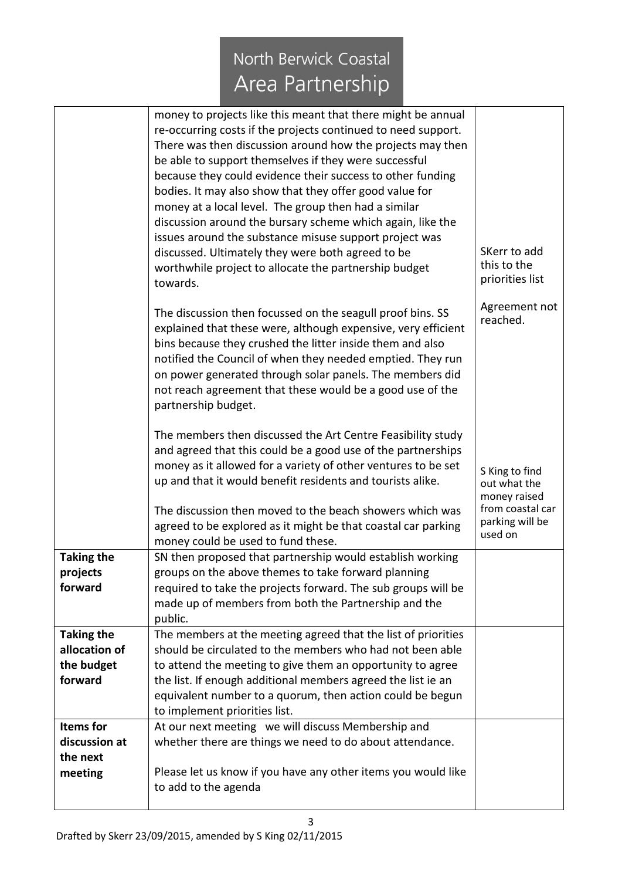# North Berwick Coastal Area Partnership

|                   | money to projects like this meant that there might be annual                                    |                                     |
|-------------------|-------------------------------------------------------------------------------------------------|-------------------------------------|
|                   | re-occurring costs if the projects continued to need support.                                   |                                     |
|                   | There was then discussion around how the projects may then                                      |                                     |
|                   | be able to support themselves if they were successful                                           |                                     |
|                   | because they could evidence their success to other funding                                      |                                     |
|                   | bodies. It may also show that they offer good value for                                         |                                     |
|                   | money at a local level. The group then had a similar                                            |                                     |
|                   | discussion around the bursary scheme which again, like the                                      |                                     |
|                   | issues around the substance misuse support project was                                          |                                     |
|                   | discussed. Ultimately they were both agreed to be                                               | SKerr to add<br>this to the         |
|                   | worthwhile project to allocate the partnership budget                                           | priorities list                     |
|                   | towards.                                                                                        |                                     |
|                   | The discussion then focussed on the seagull proof bins. SS                                      | Agreement not                       |
|                   | explained that these were, although expensive, very efficient                                   | reached.                            |
|                   | bins because they crushed the litter inside them and also                                       |                                     |
|                   | notified the Council of when they needed emptied. They run                                      |                                     |
|                   | on power generated through solar panels. The members did                                        |                                     |
|                   | not reach agreement that these would be a good use of the                                       |                                     |
|                   | partnership budget.                                                                             |                                     |
|                   | The members then discussed the Art Centre Feasibility study                                     |                                     |
|                   | and agreed that this could be a good use of the partnerships                                    |                                     |
|                   | money as it allowed for a variety of other ventures to be set                                   | S King to find                      |
|                   | up and that it would benefit residents and tourists alike.                                      | out what the                        |
|                   |                                                                                                 | money raised                        |
|                   | The discussion then moved to the beach showers which was                                        | from coastal car<br>parking will be |
|                   | agreed to be explored as it might be that coastal car parking                                   | used on                             |
| <b>Taking the</b> | money could be used to fund these.<br>SN then proposed that partnership would establish working |                                     |
| projects          | groups on the above themes to take forward planning                                             |                                     |
| forward           | required to take the projects forward. The sub groups will be                                   |                                     |
|                   | made up of members from both the Partnership and the                                            |                                     |
|                   | public.                                                                                         |                                     |
| <b>Taking the</b> | The members at the meeting agreed that the list of priorities                                   |                                     |
| allocation of     | should be circulated to the members who had not been able                                       |                                     |
| the budget        | to attend the meeting to give them an opportunity to agree                                      |                                     |
| forward           | the list. If enough additional members agreed the list ie an                                    |                                     |
|                   | equivalent number to a quorum, then action could be begun                                       |                                     |
|                   | to implement priorities list.                                                                   |                                     |
| <b>Items</b> for  | At our next meeting we will discuss Membership and                                              |                                     |
| discussion at     | whether there are things we need to do about attendance.                                        |                                     |
| the next          |                                                                                                 |                                     |
| meeting           | Please let us know if you have any other items you would like<br>to add to the agenda           |                                     |
|                   |                                                                                                 |                                     |